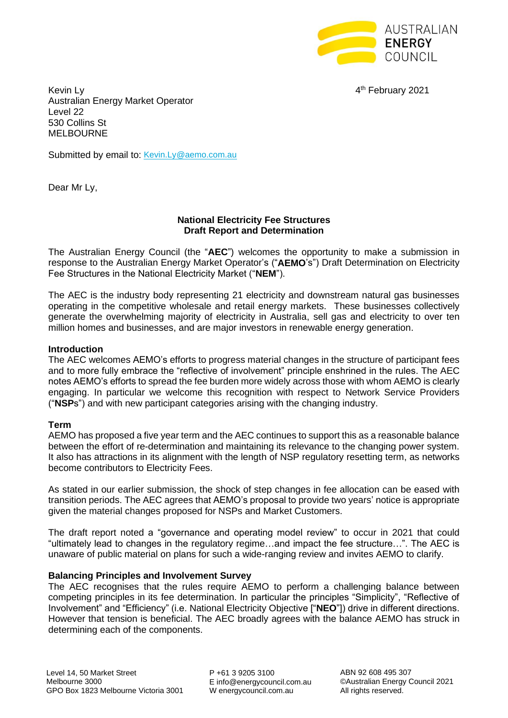

4<sup>th</sup> February 2021

Kevin Ly **4** Australian Energy Market Operator Level 22 530 Collins St MELBOURNE

Submitted by email to: [Kevin.Ly@aemo.com.au](mailto:Kevin.Ly@aemo.com.au)

Dear Mr Ly,

### **National Electricity Fee Structures Draft Report and Determination**

The Australian Energy Council (the "**AEC**") welcomes the opportunity to make a submission in response to the Australian Energy Market Operator's ("**AEMO**'s") Draft Determination on Electricity Fee Structures in the National Electricity Market ("**NEM**").

The AEC is the industry body representing 21 electricity and downstream natural gas businesses operating in the competitive wholesale and retail energy markets. These businesses collectively generate the overwhelming majority of electricity in Australia, sell gas and electricity to over ten million homes and businesses, and are major investors in renewable energy generation.

#### **Introduction**

The AEC welcomes AEMO's efforts to progress material changes in the structure of participant fees and to more fully embrace the "reflective of involvement" principle enshrined in the rules. The AEC notes AEMO's efforts to spread the fee burden more widely across those with whom AEMO is clearly engaging. In particular we welcome this recognition with respect to Network Service Providers ("**NSP**s") and with new participant categories arising with the changing industry.

# **Term**

AEMO has proposed a five year term and the AEC continues to support this as a reasonable balance between the effort of re-determination and maintaining its relevance to the changing power system. It also has attractions in its alignment with the length of NSP regulatory resetting term, as networks become contributors to Electricity Fees.

As stated in our earlier submission, the shock of step changes in fee allocation can be eased with transition periods. The AEC agrees that AEMO's proposal to provide two years' notice is appropriate given the material changes proposed for NSPs and Market Customers.

The draft report noted a "governance and operating model review" to occur in 2021 that could "ultimately lead to changes in the regulatory regime…and impact the fee structure…". The AEC is unaware of public material on plans for such a wide-ranging review and invites AEMO to clarify.

#### **Balancing Principles and Involvement Survey**

The AEC recognises that the rules require AEMO to perform a challenging balance between competing principles in its fee determination. In particular the principles "Simplicity", "Reflective of Involvement" and "Efficiency" (i.e. National Electricity Objective ["**NEO**"]) drive in different directions. However that tension is beneficial. The AEC broadly agrees with the balance AEMO has struck in determining each of the components.

P +61 3 9205 3100 E info@energycouncil.com.au W energycouncil.com.au

ABN 92 608 495 307 ©Australian Energy Council 2021 All rights reserved.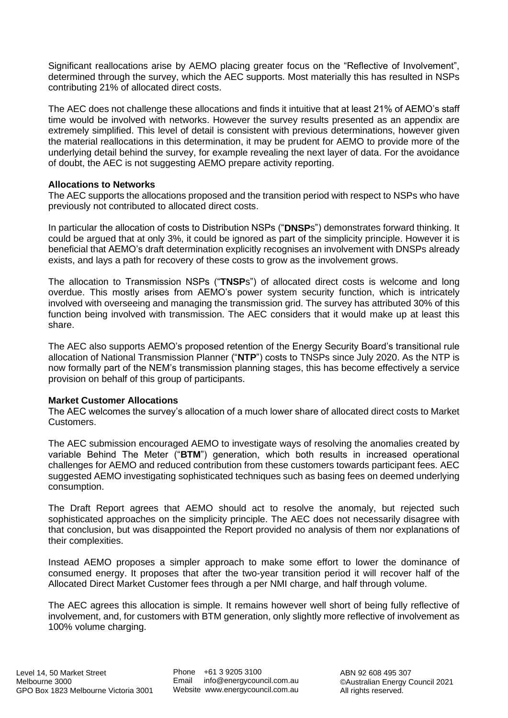Significant reallocations arise by AEMO placing greater focus on the "Reflective of Involvement", determined through the survey, which the AEC supports. Most materially this has resulted in NSPs contributing 21% of allocated direct costs.

The AEC does not challenge these allocations and finds it intuitive that at least 21% of AEMO's staff time would be involved with networks. However the survey results presented as an appendix are extremely simplified. This level of detail is consistent with previous determinations, however given the material reallocations in this determination, it may be prudent for AEMO to provide more of the underlying detail behind the survey, for example revealing the next layer of data. For the avoidance of doubt, the AEC is not suggesting AEMO prepare activity reporting.

# **Allocations to Networks**

The AEC supports the allocations proposed and the transition period with respect to NSPs who have previously not contributed to allocated direct costs.

In particular the allocation of costs to Distribution NSPs ("**DNSP**s") demonstrates forward thinking. It could be argued that at only 3%, it could be ignored as part of the simplicity principle. However it is beneficial that AEMO's draft determination explicitly recognises an involvement with DNSPs already exists, and lays a path for recovery of these costs to grow as the involvement grows.

The allocation to Transmission NSPs ("**TNSP**s") of allocated direct costs is welcome and long overdue. This mostly arises from AEMO's power system security function, which is intricately involved with overseeing and managing the transmission grid. The survey has attributed 30% of this function being involved with transmission. The AEC considers that it would make up at least this share.

The AEC also supports AEMO's proposed retention of the Energy Security Board's transitional rule allocation of National Transmission Planner ("**NTP**") costs to TNSPs since July 2020. As the NTP is now formally part of the NEM's transmission planning stages, this has become effectively a service provision on behalf of this group of participants.

# **Market Customer Allocations**

The AEC welcomes the survey's allocation of a much lower share of allocated direct costs to Market Customers.

The AEC submission encouraged AEMO to investigate ways of resolving the anomalies created by variable Behind The Meter ("**BTM**") generation, which both results in increased operational challenges for AEMO and reduced contribution from these customers towards participant fees. AEC suggested AEMO investigating sophisticated techniques such as basing fees on deemed underlying consumption.

The Draft Report agrees that AEMO should act to resolve the anomaly, but rejected such sophisticated approaches on the simplicity principle. The AEC does not necessarily disagree with that conclusion, but was disappointed the Report provided no analysis of them nor explanations of their complexities.

Instead AEMO proposes a simpler approach to make some effort to lower the dominance of consumed energy. It proposes that after the two-year transition period it will recover half of the Allocated Direct Market Customer fees through a per NMI charge, and half through volume.

The AEC agrees this allocation is simple. It remains however well short of being fully reflective of involvement, and, for customers with BTM generation, only slightly more reflective of involvement as 100% volume charging.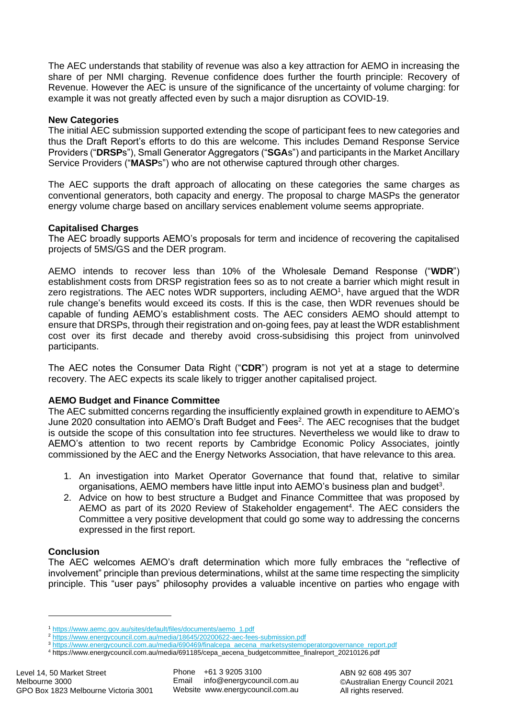The AEC understands that stability of revenue was also a key attraction for AEMO in increasing the share of per NMI charging. Revenue confidence does further the fourth principle: Recovery of Revenue. However the AEC is unsure of the significance of the uncertainty of volume charging: for example it was not greatly affected even by such a major disruption as COVID-19.

### **New Categories**

The initial AEC submission supported extending the scope of participant fees to new categories and thus the Draft Report's efforts to do this are welcome. This includes Demand Response Service Providers ("**DRSP**s"), Small Generator Aggregators ("**SGA**s") and participants in the Market Ancillary Service Providers ("**MASP**s") who are not otherwise captured through other charges.

The AEC supports the draft approach of allocating on these categories the same charges as conventional generators, both capacity and energy. The proposal to charge MASPs the generator energy volume charge based on ancillary services enablement volume seems appropriate.

#### **Capitalised Charges**

The AEC broadly supports AEMO's proposals for term and incidence of recovering the capitalised projects of 5MS/GS and the DER program.

AEMO intends to recover less than 10% of the Wholesale Demand Response ("**WDR**") establishment costs from DRSP registration fees so as to not create a barrier which might result in zero registrations. The AEC notes WDR supporters, including AEMO<sup>1</sup>, have argued that the WDR rule change's benefits would exceed its costs. If this is the case, then WDR revenues should be capable of funding AEMO's establishment costs. The AEC considers AEMO should attempt to ensure that DRSPs, through their registration and on-going fees, pay at least the WDR establishment cost over its first decade and thereby avoid cross-subsidising this project from uninvolved participants.

The AEC notes the Consumer Data Right ("**CDR**") program is not yet at a stage to determine recovery. The AEC expects its scale likely to trigger another capitalised project.

# **AEMO Budget and Finance Committee**

The AEC submitted concerns regarding the insufficiently explained growth in expenditure to AEMO's June 2020 consultation into AEMO's Draft Budget and Fees<sup>2</sup>. The AEC recognises that the budget is outside the scope of this consultation into fee structures. Nevertheless we would like to draw to AEMO's attention to two recent reports by Cambridge Economic Policy Associates, jointly commissioned by the AEC and the Energy Networks Association, that have relevance to this area.

- 1. An investigation into Market Operator Governance that found that, relative to similar organisations, AEMO members have little input into AEMO's business plan and budget<sup>3</sup>.
- 2. Advice on how to best structure a Budget and Finance Committee that was proposed by AEMO as part of its 2020 Review of Stakeholder engagement<sup>4</sup>. The AEC considers the Committee a very positive development that could go some way to addressing the concerns expressed in the first report.

#### **Conclusion**

The AEC welcomes AEMO's draft determination which more fully embraces the "reflective of involvement" principle than previous determinations, whilst at the same time respecting the simplicity principle. This "user pays" philosophy provides a valuable incentive on parties who engage with

<sup>1</sup> [https://www.aemc.gov.au/sites/default/files/documents/aemo\\_1.pdf](https://www.aemc.gov.au/sites/default/files/documents/aemo_1.pdf)

<sup>2</sup> <https://www.energycouncil.com.au/media/18645/20200622-aec-fees-submission.pdf>

<sup>3</sup> [https://www.energycouncil.com.au/media/690469/finalcepa\\_aecena\\_marketsystemoperatorgovernance\\_report.pdf](https://www.energycouncil.com.au/media/690469/finalcepa_aecena_marketsystemoperatorgovernance_report.pdf)

<sup>4</sup> https://www.energycouncil.com.au/media/691185/cepa\_aecena\_budgetcommittee\_finalreport\_20210126.pdf